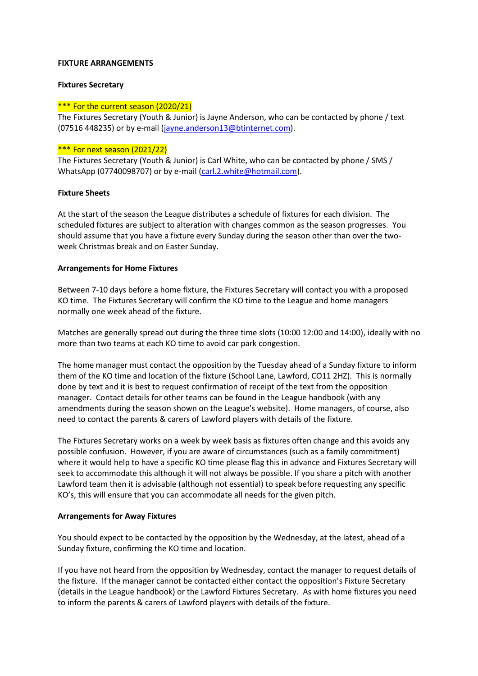#### **FIXTURE ARRANGEMENTS**

#### **Fixtures Secretary**

#### \*\*\* For the current season (2020/21)

The Fixtures Secretary (Youth & Junior) is Jayne Anderson, who can be contacted by phone / text (07516 448235) or by e-mail [\(jayne.anderson13@btinternet.com\)](mailto:jayne.anderson13@btinternet.com).

# \*\*\* For next season (2021/22)

The Fixtures Secretary (Youth & Junior) is Carl White, who can be contacted by phone / SMS / WhatsApp (07740098707) or by e-mail [\(carl.2.white@hotmail.com\)](mailto:carl.2.white@hotmail.com).

#### **Fixture Sheets**

At the start of the season the League distributes a schedule of fixtures for each division. The scheduled fixtures are subject to alteration with changes common as the season progresses. You should assume that you have a fixture every Sunday during the season other than over the twoweek Christmas break and on Easter Sunday.

#### **Arrangements for Home Fixtures**

Between 7-10 days before a home fixture, the Fixtures Secretary will contact you with a proposed KO time. The Fixtures Secretary will confirm the KO time to the League and home managers normally one week ahead of the fixture.

Matches are generally spread out during the three time slots (10:00 12:00 and 14:00), ideally with no more than two teams at each KO time to avoid car park congestion.

The home manager must contact the opposition by the Tuesday ahead of a Sunday fixture to inform them of the KO time and location of the fixture (School Lane, Lawford, CO11 2HZ). This is normally done by text and it is best to request confirmation of receipt of the text from the opposition manager. Contact details for other teams can be found in the League handbook (with any amendments during the season shown on the League's website). Home managers, of course, also need to contact the parents & carers of Lawford players with details of the fixture.

The Fixtures Secretary works on a week by week basis as fixtures often change and this avoids any possible confusion. However, if you are aware of circumstances (such as a family commitment) where it would help to have a specific KO time please flag this in advance and Fixtures Secretary will seek to accommodate this although it will not always be possible. If you share a pitch with another Lawford team then it is advisable (although not essential) to speak before requesting any specific KO's, this will ensure that you can accommodate all needs for the given pitch.

#### **Arrangements for Away Fixtures**

You should expect to be contacted by the opposition by the Wednesday, at the latest, ahead of a Sunday fixture, confirming the KO time and location.

If you have not heard from the opposition by Wednesday, contact the manager to request details of the fixture. If the manager cannot be contacted either contact the opposition's Fixture Secretary (details in the League handbook) or the Lawford Fixtures Secretary. As with home fixtures you need to inform the parents & carers of Lawford players with details of the fixture.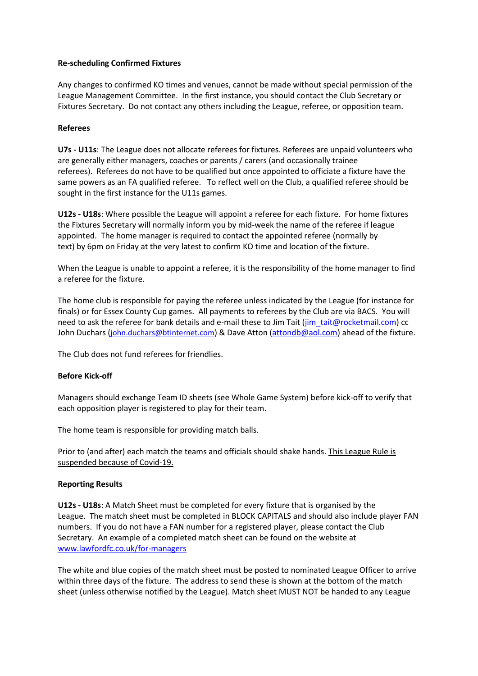# **Re-scheduling Confirmed Fixtures**

Any changes to confirmed KO times and venues, cannot be made without special permission of the League Management Committee. In the first instance, you should contact the Club Secretary or Fixtures Secretary. Do not contact any others including the League, referee, or opposition team.

# **Referees**

**U7s - U11s**: The League does not allocate referees for fixtures. Referees are unpaid volunteers who are generally either managers, coaches or parents / carers (and occasionally trainee referees). Referees do not have to be qualified but once appointed to officiate a fixture have the same powers as an FA qualified referee. To reflect well on the Club, a qualified referee should be sought in the first instance for the U11s games.

**U12s - U18s**: Where possible the League will appoint a referee for each fixture. For home fixtures the Fixtures Secretary will normally inform you by mid-week the name of the referee if league appointed. The home manager is required to contact the appointed referee (normally by text) by 6pm on Friday at the very latest to confirm KO time and location of the fixture.

When the League is unable to appoint a referee, it is the responsibility of the home manager to find a referee for the fixture.

The home club is responsible for paying the referee unless indicated by the League (for instance for finals) or for Essex County Cup games. All payments to referees by the Club are via BACS. You will need to ask the referee for bank details and e-mail these to Jim Tait (jim tait@rocketmail.com) cc John Duchars ([john.duchars@btinternet.com](mailto:john.duchars@btinternet.com)) & Dave Atton [\(attondb@aol.com\)](mailto:attondb@aol.com) ahead of the fixture.

The Club does not fund referees for friendlies.

# **Before Kick-off**

Managers should exchange Team ID sheets (see Whole Game System) before kick-off to verify that each opposition player is registered to play for their team.

The home team is responsible for providing match balls.

Prior to (and after) each match the teams and officials should shake hands. This League Rule is suspended because of Covid-19.

# **Reporting Results**

**U12s - U18s**: A Match Sheet must be completed for every fixture that is organised by the League. The match sheet must be completed in BLOCK CAPITALS and should also include player FAN numbers. If you do not have a FAN number for a registered player, please contact the Club Secretary. An example of a completed match sheet can be found on the website at [www.lawfordfc.co.uk/for-managers](http://www.lawfordfc.co.uk/for-managers)

The white and blue copies of the match sheet must be posted to nominated League Officer to arrive within three days of the fixture. The address to send these is shown at the bottom of the match sheet (unless otherwise notified by the League). Match sheet MUST NOT be handed to any League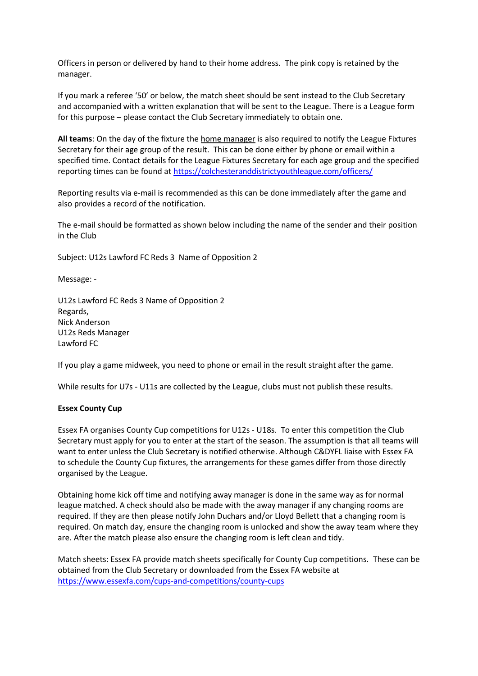Officers in person or delivered by hand to their home address. The pink copy is retained by the manager.

If you mark a referee '50' or below, the match sheet should be sent instead to the Club Secretary and accompanied with a written explanation that will be sent to the League. There is a League form for this purpose – please contact the Club Secretary immediately to obtain one.

**All teams**: On the day of the fixture the home manager is also required to notify the League Fixtures Secretary for their age group of the result. This can be done either by phone or email within a specified time. Contact details for the League Fixtures Secretary for each age group and the specified reporting times can be found at<https://colchesteranddistrictyouthleague.com/officers/>

Reporting results via e-mail is recommended as this can be done immediately after the game and also provides a record of the notification.

The e-mail should be formatted as shown below including the name of the sender and their position in the Club

Subject: U12s Lawford FC Reds 3 Name of Opposition 2

Message: -

U12s Lawford FC Reds 3 Name of Opposition 2 Regards, Nick Anderson U12s Reds Manager Lawford FC

If you play a game midweek, you need to phone or email in the result straight after the game.

While results for U7s - U11s are collected by the League, clubs must not publish these results.

#### **Essex County Cup**

Essex FA organises County Cup competitions for U12s - U18s. To enter this competition the Club Secretary must apply for you to enter at the start of the season. The assumption is that all teams will want to enter unless the Club Secretary is notified otherwise. Although C&DYFL liaise with Essex FA to schedule the County Cup fixtures, the arrangements for these games differ from those directly organised by the League.

Obtaining home kick off time and notifying away manager is done in the same way as for normal league matched. A check should also be made with the away manager if any changing rooms are required. If they are then please notify John Duchars and/or Lloyd Bellett that a changing room is required. On match day, ensure the changing room is unlocked and show the away team where they are. After the match please also ensure the changing room is left clean and tidy.

Match sheets: Essex FA provide match sheets specifically for County Cup competitions. These can be obtained from the Club Secretary or downloaded from the Essex FA website at <https://www.essexfa.com/cups-and-competitions/county-cups>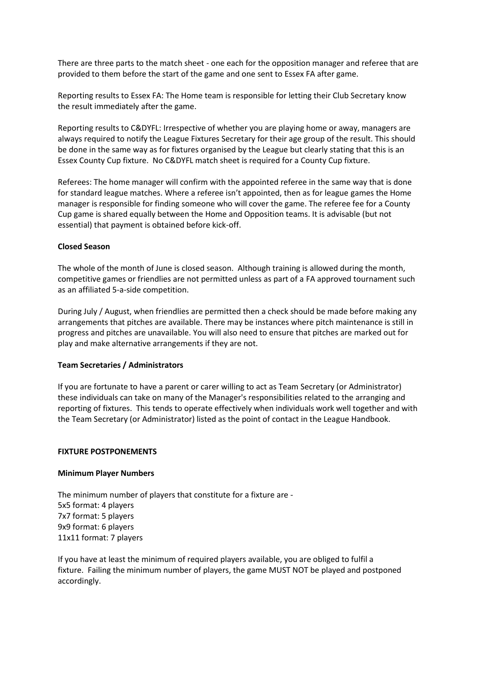There are three parts to the match sheet - one each for the opposition manager and referee that are provided to them before the start of the game and one sent to Essex FA after game.

Reporting results to Essex FA: The Home team is responsible for letting their Club Secretary know the result immediately after the game.

Reporting results to C&DYFL: Irrespective of whether you are playing home or away, managers are always required to notify the League Fixtures Secretary for their age group of the result. This should be done in the same way as for fixtures organised by the League but clearly stating that this is an Essex County Cup fixture. No C&DYFL match sheet is required for a County Cup fixture.

Referees: The home manager will confirm with the appointed referee in the same way that is done for standard league matches. Where a referee isn't appointed, then as for league games the Home manager is responsible for finding someone who will cover the game. The referee fee for a County Cup game is shared equally between the Home and Opposition teams. It is advisable (but not essential) that payment is obtained before kick-off.

# **Closed Season**

The whole of the month of June is closed season. Although training is allowed during the month, competitive games or friendlies are not permitted unless as part of a FA approved tournament such as an affiliated 5-a-side competition.

During July / August, when friendlies are permitted then a check should be made before making any arrangements that pitches are available. There may be instances where pitch maintenance is still in progress and pitches are unavailable. You will also need to ensure that pitches are marked out for play and make alternative arrangements if they are not.

# **Team Secretaries / Administrators**

If you are fortunate to have a parent or carer willing to act as Team Secretary (or Administrator) these individuals can take on many of the Manager's responsibilities related to the arranging and reporting of fixtures. This tends to operate effectively when individuals work well together and with the Team Secretary (or Administrator) listed as the point of contact in the League Handbook.

# **FIXTURE POSTPONEMENTS**

# **Minimum Player Numbers**

The minimum number of players that constitute for a fixture are - 5x5 format: 4 players 7x7 format: 5 players 9x9 format: 6 players 11x11 format: 7 players

If you have at least the minimum of required players available, you are obliged to fulfil a fixture. Failing the minimum number of players, the game MUST NOT be played and postponed accordingly.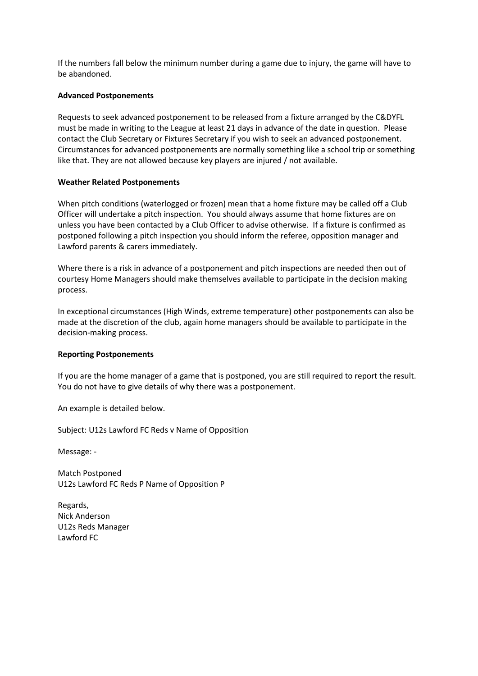If the numbers fall below the minimum number during a game due to injury, the game will have to be abandoned.

# **Advanced Postponements**

Requests to seek advanced postponement to be released from a fixture arranged by the C&DYFL must be made in writing to the League at least 21 days in advance of the date in question. Please contact the Club Secretary or Fixtures Secretary if you wish to seek an advanced postponement. Circumstances for advanced postponements are normally something like a school trip or something like that. They are not allowed because key players are injured / not available.

#### **Weather Related Postponements**

When pitch conditions (waterlogged or frozen) mean that a home fixture may be called off a Club Officer will undertake a pitch inspection. You should always assume that home fixtures are on unless you have been contacted by a Club Officer to advise otherwise. If a fixture is confirmed as postponed following a pitch inspection you should inform the referee, opposition manager and Lawford parents & carers immediately.

Where there is a risk in advance of a postponement and pitch inspections are needed then out of courtesy Home Managers should make themselves available to participate in the decision making process.

In exceptional circumstances (High Winds, extreme temperature) other postponements can also be made at the discretion of the club, again home managers should be available to participate in the decision-making process.

#### **Reporting Postponements**

If you are the home manager of a game that is postponed, you are still required to report the result. You do not have to give details of why there was a postponement.

An example is detailed below.

Subject: U12s Lawford FC Reds v Name of Opposition

Message: -

Match Postponed U12s Lawford FC Reds P Name of Opposition P

Regards, Nick Anderson U12s Reds Manager Lawford FC